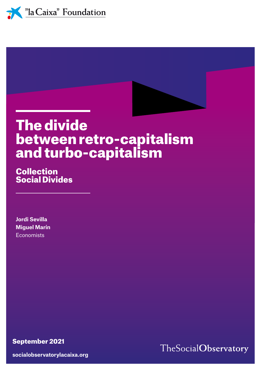



### The divide between retro-capitalism and turbo-capitalism

Collection Social Divides

**Jordi Sevilla Miguel Marín Economists** 

September 2021

**socialobservatorylacaixa.org**

#### TheSocialObservatory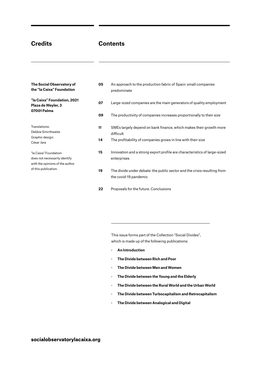#### **Credits Contents**

| The Social Observatory of<br>the "la Caixa" Foundation                                    | 05       | An approach to the production fabric of Spain: small companies<br>predominate                                                                   |  |  |
|-------------------------------------------------------------------------------------------|----------|-------------------------------------------------------------------------------------------------------------------------------------------------|--|--|
| "la Caixa" Foundation, 2021<br>Plaza de Weyler, 3<br>07001 Palma                          | 07       | Large-sized companies are the main generators of quality employment                                                                             |  |  |
|                                                                                           | 09       | The productivity of companies increases proportionally to their size                                                                            |  |  |
| Translations:<br>Debbie Smirthwaite<br>Graphic design:<br>César Jara                      | 11<br>14 | SMEs largely depend on bank finance, which makes their growth more<br>difficult<br>The profitability of companies grows in line with their size |  |  |
| "la Caixa" Foundation<br>does not necessarily identify<br>with the opinions of the author | 15       | Innovation and a strong export profile are characteristics of large-sized<br>enterprises                                                        |  |  |
| of this publication.                                                                      | 19       | The divide under debate: the public sector and the crisis resulting from<br>the covid-19 pandemic                                               |  |  |

**22** Proposals for the future. Conclusions

This issue forms part of the Collection "Social Divides", which is made up of the following publications:

- **· An Introduction**
- **· The Divide between Rich and Poor**
- **· The Divide between Men and Women**
- **· The Divide between the Young and the Elderly**
- **· The Divide between the Rural World and the Urban World**
- **· The Divide between Turbocapitalism and Retrocapitalism**
- **· The Divide between Analogical and Digital**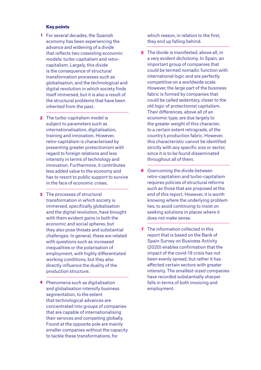#### Key points

- **1** For several decades, the Spanish economy has been experiencing the advance and widening of a divide that reflects two coexisting economic models: turbo-capitalism and retrocapitalism. Largely, this divide is the consequence of structural transformation processes such as globalisation, and the technological and digital revolution in which society finds itself immersed, but it is also a result of the structural problems that have been inherited from the past.
- **2** The turbo-capitalism model is subject to parameters such as internationalisation, digitalisation, training and innovation. However, retro-capitalism is characterised by presenting greater protectionism with regard to foreign relations and less intensity in terms of technology and innovation. Furthermore, it contributes less added value to the economy and has to resort to public support to survive in the face of economic crises.
- **3** The processes of structural transformation in which society is immersed, specifically globalisation and the digital revolution, have brought with them evident gains in both the economic and social spheres, but they also pose threats and substantial challenges. In general, these are related with questions such as increased inequalities or the polarisation of employment, with highly differentiated working conditions, but they also directly influence the duality of the production structure.
- 4 Phenomena such as digitalisation and globalisation intensify business segmentation, to the extent that technological advances are concentrated into groups of companies that are capable of internationalising their services and competing globally. Found at the opposite pole are mainly smaller companies without the capacity to tackle these transformations, for

which reason, in relation to the first, they end up falling behind.

- **5** The divide is manifested, above all, in a very evident dichotomy. In Spain, an important group of companies that could be termed nomadic function with international logic and are perfectly competitive on a worldwide scale. However, the large part of the business fabric is formed by companies that could be called sedentary, closer to the old logic of protectionist capitalism. Their differences, above all of an economic type, are due largely to the greater weight of this character, to a certain extent retrograde, of the country's production fabric. However, this characteristic cannot be identified strictly with any specific size or sector, since it is to be found disseminated throughout all of them.
- **6** Overcoming the divide between retro-capitalism and turbo-capitalism requires policies of structural reforms such as those that are proposed at the end of this report. However, it is worth knowing where the underlying problem lies, to avoid continuing to insist on seeking solutions in places where it does not make sense.
- **7** The information collected in this report that is based on the Bank of Spain Survey on Business Activity (2020) enables confirmation that the impact of the covid-19 crisis has not been evenly spread, but rather it has affected certain sectors with greater intensity. The smallest-sized companies have recorded substantially sharper falls in terms of both invoicing and employment.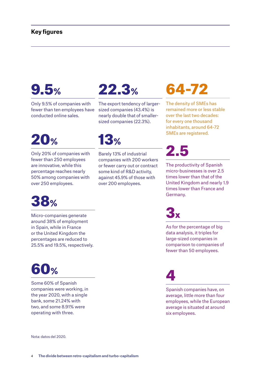#### **Key figures**

### $9.5%$

Only 9.5% of companies with fewer than ten employees have conducted online sales.

### 20%

Only 20% of companies with fewer than 250 employees are innovative, while this percentage reaches nearly 50% among companies with over 250 employees.

### 38%

Micro-companies generate around 38% of employment in Spain, while in France or the United Kingdom the percentages are reduced to 25.5% and 19.5%, respectively.

### 60%

Some 60% of Spanish companies were working, in the year 2020, with a single bank, some 21.24% with two, and some 8.91% were operating with three.

22.3%

The export tendency of largersized companies (43.4%) is nearly double that of smallersized companies (22.3%).

13%

Barely 13% of industrial companies with 200 workers or fewer carry out or contract some kind of R&D activity, against 45.9% of those with over 200 employees.

### 64-72

The density of SMEs has remained more or less stable over the last two decades: for every one thousand inhabitants, around 64-72 SMEs are registered.

## 2.5

The productivity of Spanish micro-businesses is over 2.5 times lower than that of the United Kingdom and nearly 1.9 times lower than France and Germany.

3x

As for the percentage of big data analysis, it triples for large-sized companies in comparison to companies of fewer than 50 employees.

4

Spanish companies have, on average, little more than four employees, while the European average is situated at around six employees.

Nota: datos del 2020.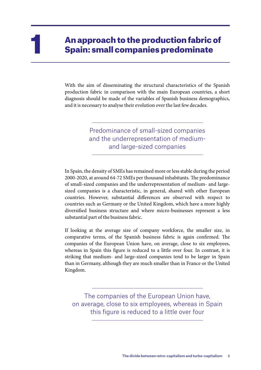#### An approach to the production fabric of Spain: small companies predominate

With the aim of disseminating the structural characteristics of the Spanish production fabric in comparison with the main European countries, a short diagnosis should be made of the variables of Spanish business demographics, and it is necessary to analyse their evolution over the last few decades.

> Predominance of small-sized companies and the underrepresentation of mediumand large-sized companies

In Spain, the density of SMEs has remained more or less stable during the period 2000-2020, at around 64-72 SMEs per thousand inhabitants. The predominance of small-sized companies and the underrepresentation of medium- and largesized companies is a characteristic, in general, shared with other European countries. However, substantial differences are observed with respect to countries such as Germany or the United Kingdom, which have a more highly diversified business structure and where micro-businesses represent a less substantial part of the business fabric.

If looking at the average size of company workforce, the smaller size, in comparative terms, of the Spanish business fabric is again confirmed. The companies of the European Union have, on average, close to six employees, whereas in Spain this figure is reduced to a little over four. In contrast, it is striking that medium- and large-sized companies tend to be larger in Spain than in Germany, although they are much smaller than in France or the United Kingdom.

The companies of the European Union have, on average, close to six employees, whereas in Spain this figure is reduced to a little over four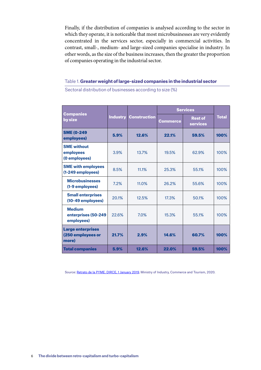Finally, if the distribution of companies is analysed according to the sector in which they operate, it is noticeable that most microbusinesses are very evidently concentrated in the services sector, especially in commercial activities. In contrast, small-, medium- and large-sized companies specialise in industry. In other words, as the size of the business increases, then the greater the proportion of companies operating in the industrial sector.

Table 1. **Greater weight of large-sized companies in the industrial sector**

Sectoral distribution of businesses according to size (%)

| <b>Companies</b><br>by size                            | <b>Industry</b> | <b>Construction</b> | <b>Services</b> |                                   |              |
|--------------------------------------------------------|-----------------|---------------------|-----------------|-----------------------------------|--------------|
|                                                        |                 |                     | <b>Commerce</b> | <b>Rest of</b><br><b>services</b> | <b>Total</b> |
| <b>SME (0-249</b><br>employees)                        | 5.9%            | 12.6%               | 22.1%           | 59.5%                             | 100%         |
| <b>SME</b> without<br>employees<br>(0 employees)       | 3.9%            | 13.7%               | 19.5%           | 62.9%                             | 100%         |
| <b>SME with employees</b><br>(1-249 employees)         | 8.5%            | 11.1%               | 25.3%           | 55.1%                             | 100%         |
| <b>Microbusinesses</b><br>(1-9 employees)              | 7.2%            | 11.0%               | 26.2%           | 55.6%                             | 100%         |
| <b>Small enterprises</b><br>(10-49 employees)          | 20.1%           | 12.5%               | 17.3%           | 50.1%                             | 100%         |
| <b>Medium</b><br>enterprises (50-249<br>employees)     | 22.6%           | 7.0%                | 15.3%           | 55.1%                             | 100%         |
| <b>Large enterprises</b><br>(250 employees or<br>more) | 21.7%           | 2.9%                | 14.6%           | 60.7%                             | 100%         |
| <b>Total companies</b>                                 | 5.9%            | 12.6%               | 22.0%           | 59.5%                             | 100%         |

Source: Retrato de la PYME. DIRCE, 1 January 2019, Ministry of Industry, Commerce and Tourism, 2020.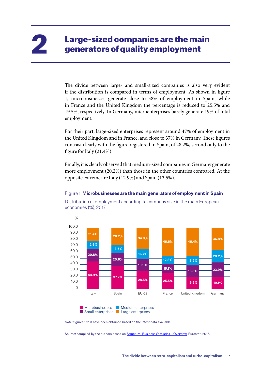#### 2 Large-sized companies are the main generators of quality employment

The divide between large- and small-sized companies is also very evident if the distribution is compared in terms of employment. As shown in figure 1, microbusinesses generate close to 38% of employment in Spain, while in France and the United Kingdom the percentage is reduced to 25.5% and 19.5%, respectively. In Germany, microenterprises barely generate 19% of total employment.

For their part, large-sized enterprises represent around 47% of employment in the United Kingdom and in France, and close to 37% in Germany. These figures contrast clearly with the figure registered in Spain, of 28.2%, second only to the figure for Italy (21.4%).

Finally, it is clearly observed that medium-sized companies in Germany generate more employment (20.2%) than those in the other countries compared. At the opposite extreme are Italy (12.9%) and Spain (13.5%).



Figure 1. **Microbusinesses are the main generators of employment in Spain** 

Distribution of employment according to company size in the main European economies (%), 2017



Source: compiled by the authors based on Structural Business Statistics – Overview, Eurostat, 2017.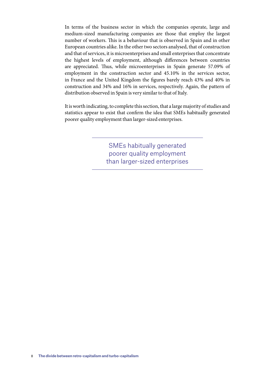In terms of the business sector in which the companies operate, large and medium-sized manufacturing companies are those that employ the largest number of workers. This is a behaviour that is observed in Spain and in other European countries alike. In the other two sectors analysed, that of construction and that of services, it is microenterprises and small enterprises that concentrate the highest levels of employment, although differences between countries are appreciated. Thus, while microenterprises in Spain generate 57.09% of employment in the construction sector and 45.10% in the services sector, in France and the United Kingdom the figures barely reach 43% and 40% in construction and 34% and 16% in services, respectively. Again, the pattern of distribution observed in Spain is very similar to that of Italy.

It is worth indicating, to complete this section, that a large majority of studies and statistics appear to exist that confirm the idea that SMEs habitually generated poorer quality employment than larger-sized enterprises.

> SMEs habitually generated poorer quality employment than larger-sized enterprises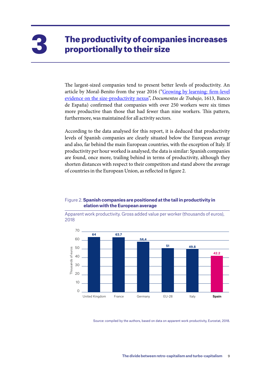## The productivity of companies increases<br>proportionally to their size

The largest-sized companies tend to present better levels of productivity. An article by Moral-Benito from the year 2016 ("Growing by learning: firm-level evidence on the size-productivity nexus", *Documentos de Trabajo*, 1613, Banco de España) confirmed that companies with over 250 workers were six times more productive than those that had fewer than nine workers. This pattern, furthermore, was maintained for all activity sectors.

According to the data analysed for this report, it is deduced that productivity levels of Spanish companies are clearly situated below the European average and also, far behind the main European countries, with the exception of Italy. If productivity per hour worked is analysed, the data is similar: Spanish companies are found, once more, trailing behind in terms of productivity, although they shorten distances with respect to their competitors and stand above the average of countries in the European Union, as reflected in figure 2.

#### Figure 2. **Spanish companies are positioned at the tail in productivity in elation with the European average**

Apparent work productivity. Gross added value per worker (thousands of euros), 2018



Source: compiled by the authors, based on data on apparent work productivity, Eurostat, 2018.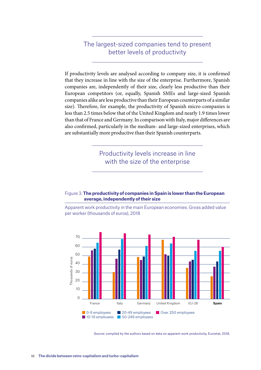The largest-sized companies tend to present better levels of productivity

If productivity levels are analysed according to company size, it is confirmed that they increase in line with the size of the enterprise. Furthermore, Spanish companies are, independently of their size, clearly less productive than their European competitors (or, equally, Spanish SMEs and large-sized Spanish companies alike are less productive than their European counterparts of a similar size). Therefore, for example, the productivity of Spanish micro-companies is less than 2.5 times below that of the United Kingdom and nearly 1.9 times lower than that of France and Germany. In comparison with Italy, major differences are also confirmed, particularly in the medium- and large-sized enterprises, which are substantially more productive than their Spanish counterparts.

#### Productivity levels increase in line with the size of the enterprise

#### Figure 3. **The productivity of companies in Spain is lower than the European average, independently of their size**

Apparent work productivity in the main European economies. Gross added value per worker (thousands of euros), 2018



Source: compiled by the authors based on data on apparent work productivity, Eurostat, 2018.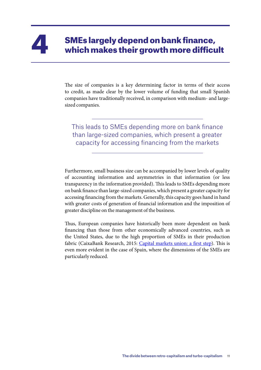## SMEs largely depend on bank finance,<br>which makes their growth more difficult

The size of companies is a key determining factor in terms of their access to credit, as made clear by the lower volume of funding that small Spanish companies have traditionally received, in comparison with medium- and largesized companies.

This leads to SMEs depending more on bank finance than large-sized companies, which present a greater capacity for accessing financing from the markets

Furthermore, small business size can be accompanied by lower levels of quality of accounting information and asymmetries in that information (or less transparency in the information provided). This leads to SMEs depending more on bank finance than large-sized companies, which present a greater capacity for accessing financing from the markets. Generally, this capacity goes hand in hand with greater costs of generation of financial information and the imposition of greater discipline on the management of the business.

Thus, European companies have historically been more dependent on bank financing than those from other economically advanced countries, such as the United States, due to the high proportion of SMEs in their production fabric (CaixaBank Research, 2015: Capital markets union: a first step). This is even more evident in the case of Spain, where the dimensions of the SMEs are particularly reduced.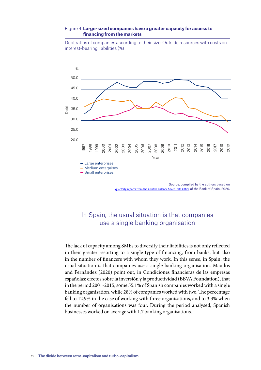#### Figure 4. **Large-sized companies have a greater capacity for access to financing from the markets**

Debt ratios of companies according to their size. Outside resources with costs on interest-bearing liabilities (%)



#### In Spain, the usual situation is that companies use a single banking organisation

The lack of capacity among SMEs to diversify their liabilities is not only reflected in their greater resorting to a single type of financing, from banks, but also in the number of financers with whom they work. In this sense, in Spain, the usual situation is that companies use a single banking organisation. Maudos and Fernández (2020) point out, in Condiciones financieras de las empresas españolas: efectos sobre la inversión y la productividad (BBVA Foundation), that in the period 2001-2015, some 55.1% of Spanish companies worked with a single banking organisation, while 28% of companies worked with two. The percentage fell to 12.9% in the case of working with three organisations, and to 3.3% when the number of organisations was four. During the period analysed, Spanish businesses worked on average with 1.7 banking organisations.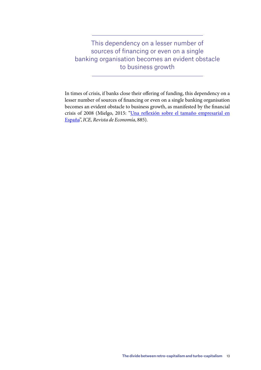This dependency on a lesser number of sources of financing or even on a single banking organisation becomes an evident obstacle to business growth

In times of crisis, if banks close their offering of funding, this dependency on a lesser number of sources of financing or even on a single banking organisation becomes an evident obstacle to business growth, as manifested by the financial crisis of 2008 (Mielgo, 2015: "Una reflexión sobre el tamaño empresarial en España", *ICE, Revista de Economía*, 885).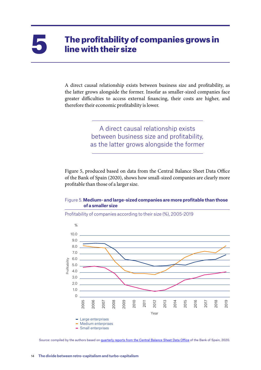### 5 The profitability of companies grows in line with their size

A direct causal relationship exists between business size and profitability, as the latter grows alongside the former. Insofar as smaller-sized companies face greater difficulties to access external financing, their costs are higher, and therefore their economic profitability is lower.

> A direct causal relationship exists between business size and profitability, as the latter grows alongside the former

Figure 5, produced based on data from the Central Balance Sheet Data Office of the Bank of Spain (2020), shows how small-sized companies are clearly more profitable than those of a larger size.

#### Figure 5. **Medium- and large-sized companies are more profitable than those of a smaller size**



Profitability of companies according to their size (%), 2005-2019

Source: compiled by the authors based on quarterly reports from the Central Balance Sheet Data Office of the Bank of Spain, 2020.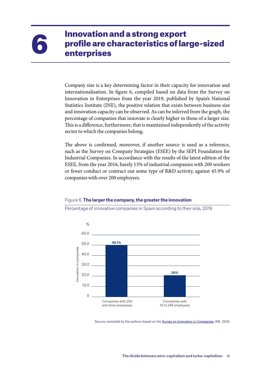### Innovation and a strong export profile are characteristics of large-sized<br>enterprises

Company size is a key determining factor in their capacity for innovation and internationalisation. In figure 6, compiled based on data from the Survey on Innovation in Enterprises from the year 2019, published by Spain's National Statistics Institute (INE), the positive relation that exists between business size and innovation capacity can be observed. As can be inferred from the graph, the percentage of companies that innovate is clearly higher in those of a larger size. This is a difference, furthermore, that is maintained independently of the activity sector to which the companies belong.

The above is confirmed, moreover, if another source is used as a reference, such as the Survey on Company Strategies (ESEE) by the SEPI Foundation for Industrial Companies. In accordance with the results of the latest edition of the ESEE, from the year 2016, barely 13% of industrial companies with 200 workers or fewer conduct or contract out some type of R&D activity, against 45.9% of companies with over 200 employees.



#### Figure 6. **The larger the company, the greater the innovation**

Percentage of innovative companies in Spain according to their size, 2019

Source: compiled by the authors based on the **Survey on Innovation in Companies**, INE, 2019.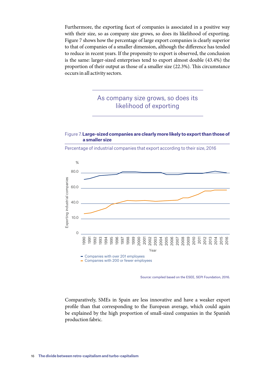Furthermore, the exporting facet of companies is associated in a positive way with their size, so as company size grows, so does its likelihood of exporting. Figure 7 shows how the percentage of large export companies is clearly superior to that of companies of a smaller dimension, although the difference has tended to reduce in recent years. If the propensity to export is observed, the conclusion is the same: larger-sized enterprises tend to export almost double (43.4%) the proportion of their output as those of a smaller size (22.3%). This circumstance occurs in all activity sectors.

#### As company size grows, so does its likelihood of exporting

Figure 7. **Large-sized companies are clearly more likely to export than those of a smaller size**



Percentage of industrial companies that export according to their size, 2016

Source: compiled based on the ESEE, SEPI Foundation, 2016.

Comparatively, SMEs in Spain are less innovative and have a weaker export profile than that corresponding to the European average, which could again be explained by the high proportion of small-sized companies in the Spanish production fabric.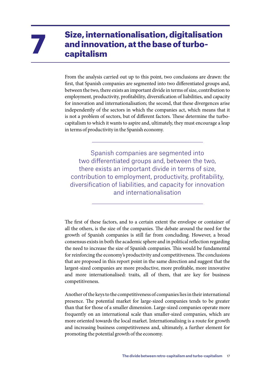### Size, internationalisation, digitalisation and innovation, at the base of turbo-<br>capitalism

From the analysis carried out up to this point, two conclusions are drawn: the first, that Spanish companies are segmented into two differentiated groups and, between the two, there exists an important divide in terms of size, contribution to employment, productivity, profitability, diversification of liabilities, and capacity for innovation and internationalisation; the second, that these divergences arise independently of the sectors in which the companies act, which means that it is not a problem of sectors, but of different factors. These determine the turbocapitalism to which it wants to aspire and, ultimately, they must encourage a leap in terms of productivity in the Spanish economy.

Spanish companies are segmented into two differentiated groups and, between the two, there exists an important divide in terms of size, contribution to employment, productivity, profitability, diversification of liabilities, and capacity for innovation and internationalisation

The first of these factors, and to a certain extent the envelope or container of all the others, is the size of the companies. The debate around the need for the growth of Spanish companies is still far from concluding. However, a broad consensus exists in both the academic sphere and in political reflection regarding the need to increase the size of Spanish companies. This would be fundamental for reinforcing the economy's productivity and competitiveness. The conclusions that are proposed in this report point in the same direction and suggest that the largest-sized companies are more productive, more profitable, more innovative and more internationalised: traits, all of them, that are key for business competitiveness.

Another of the keys to the competitiveness of companies lies in their international presence. The potential market for large-sized companies tends to be greater than that for those of a smaller dimension. Large-sized companies operate more frequently on an international scale than smaller-sized companies, which are more oriented towards the local market. Internationalising is a route for growth and increasing business competitiveness and, ultimately, a further element for promoting the potential growth of the economy.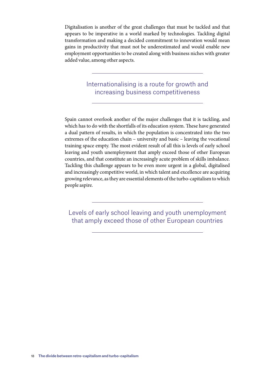Digitalisation is another of the great challenges that must be tackled and that appears to be imperative in a world marked by technologies. Tackling digital transformation and making a decided commitment to innovation would mean gains in productivity that must not be underestimated and would enable new employment opportunities to be created along with business niches with greater added value, among other aspects.

> Internationalising is a route for growth and increasing business competitiveness

Spain cannot overlook another of the major challenges that it is tackling, and which has to do with the shortfalls of its education system. These have generated a dual pattern of results, in which the population is concentrated into the two extremes of the education chain – university and basic – leaving the vocational training space empty. The most evident result of all this is levels of early school leaving and youth unemployment that amply exceed those of other European countries, and that constitute an increasingly acute problem of skills imbalance. Tackling this challenge appears to be even more urgent in a global, digitalised and increasingly competitive world, in which talent and excellence are acquiring growing relevance, as they are essential elements of the turbo-capitalism to which people aspire.

Levels of early school leaving and youth unemployment that amply exceed those of other European countries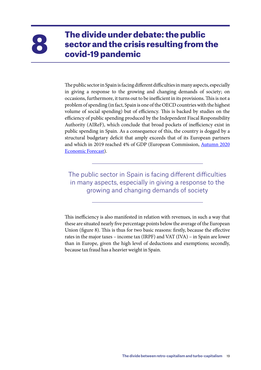### The divide under debate: the public sector and the crisis resulting from the covid-19 pandemic

The public sector in Spain is facing different difficulties in many aspects, especially in giving a response to the growing and changing demands of society; on occasions, furthermore, it turns out to be inefficient in its provisions. This is not a problem of spending (in fact, Spain is one of the OECD countries with the highest volume of social spending) but of efficiency. This is backed by studies on the efficiency of public spending produced by the Independent Fiscal Responsibility Authority (AIReF), which conclude that broad pockets of inefficiency exist in public spending in Spain. As a consequence of this, the country is dogged by a structural budgetary deficit that amply exceeds that of its European partners and which in 2019 reached 4% of GDP (European Commission, Autumn 2020 Economic Forecast).

The public sector in Spain is facing different difficulties in many aspects, especially in giving a response to the growing and changing demands of society

This inefficiency is also manifested in relation with revenues, in such a way that these are situated nearly five percentage points below the average of the European Union (figure 8). This is thus for two basic reasons: firstly, because the effective rates in the major taxes – income tax (IRPF) and VAT (IVA) – in Spain are lower than in Europe, given the high level of deductions and exemptions; secondly, because tax fraud has a heavier weight in Spain.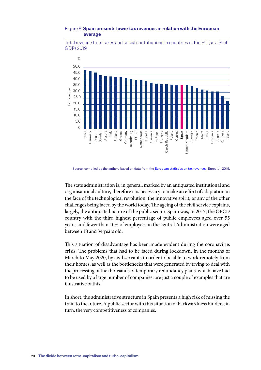#### Figure 8. **Spain presents lower tax revenues in relation with the European average**



Total revenue from taxes and social contributions in countries of the EU (as a % of GDP) 2019

Source: compiled by the authors based on data from the European statistics on tax revenues, Eurostat, 2019.

The state administration is, in general, marked by an antiquated institutional and organisational culture, therefore it is necessary to make an effort of adaptation in the face of the technological revolution, the innovative spirit, or any of the other challenges being faced by the world today. The ageing of the civil service explains, largely, the antiquated nature of the public sector. Spain was, in 2017, the OECD country with the third highest percentage of public employees aged over 55 years, and fewer than 10% of employees in the central Administration were aged between 18 and 34 years old.

This situation of disadvantage has been made evident during the coronavirus crisis. The problems that had to be faced during lockdown, in the months of March to May 2020, by civil servants in order to be able to work remotely from their homes, as well as the bottlenecks that were generated by trying to deal with the processing of the thousands of temporary redundancy plans which have had to be used by a large number of companies, are just a couple of examples that are illustrative of this.

In short, the administrative structure in Spain presents a high risk of missing the train to the future. A public sector with this situation of backwardness hinders, in turn, the very competitiveness of companies.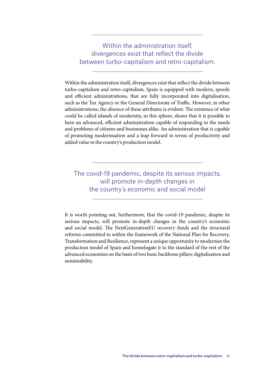Within the administration itself, divergences exist that reflect the divide between turbo-capitalism and retro-capitalism.

Within the administration itself, divergences exist that reflect the divide between turbo-capitalism and retro-capitalism. Spain is equipped with modern, speedy and efficient administrations, that are fully incorporated into digitalisation, such as the Tax Agency or the General Directorate of Traffic. However, in other administrations, the absence of these attributes is evident. The existence of what could be called islands of modernity, in this sphere, shows that it is possible to have an advanced, efficient administration capable of responding to the needs and problems of citizens and businesses alike. An administration that is capable of promoting modernisation and a leap forward in terms of productivity and added value in the country's production model.

The covid-19 pandemic, despite its serious impacts, will promote in-depth changes in the country's economic and social model

It is worth pointing out, furthermore, that the covid-19 pandemic, despite its serious impacts, will promote in-depth changes in the country's economic and social model. The NextGenerationEU recovery funds and the structural reforms committed to within the framework of the National Plan for Recovery, Transformation and Resilience, represent a unique opportunity to modernise the production model of Spain and homologate it to the standard of the rest of the advanced economies on the basis of two basic backbone pillars: digitalisation and sustainability.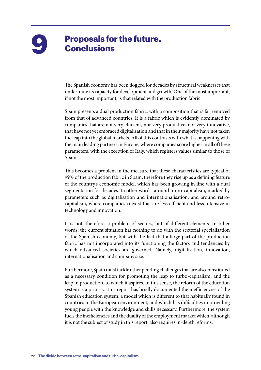# **Proposals for the future.<br>Conclusions**

The Spanish economy has been dogged for decades by structural weaknesses that undermine its capacity for development and growth. One of the most important, if not the most important, is that related with the production fabric.

Spain presents a dual production fabric, with a composition that is far removed from that of advanced countries. It is a fabric which is evidently dominated by companies that are not very efficient, nor very productive, nor very innovative, that have not yet embraced digitalisation and that in their majority have not taken the leap into the global markets. All of this contrasts with what is happening with the main leading partners in Europe, where companies score higher in all of these parameters, with the exception of Italy, which registers values similar to those of Spain.

This becomes a problem in the measure that these characteristics are typical of 99% of the production fabric in Spain, therefore they rise up as a defining feature of the country's economic model, which has been growing in line with a dual segmentation for decades. In other words, around turbo-capitalism, marked by parameters such as digitalisation and internationalisation, and around retrocapitalism, where companies coexist that are less efficient and less intensive in technology and innovation.

It is not, therefore, a problem of sectors, but of different elements. In other words, the current situation has nothing to do with the sectorial specialisation of the Spanish economy, but with the fact that a large part of the production fabric has not incorporated into its functioning the factors and tendencies by which advanced societies are governed. Namely, digitalisation, innovation, internationalisation and company size.

Furthermore, Spain must tackle other pending challenges that are also constituted as a necessary condition for promoting the leap to turbo-capitalism, and the leap in production, to which it aspires. In this sense, the reform of the education system is a priority. This report has briefly documented the inefficiencies of the Spanish education system, a model which is different to that habitually found in countries in the European environment, and which has difficulties in providing young people with the knowledge and skills necessary. Furthermore, the system fuels the inefficiencies and the duality of the employment market which, although it is not the subject of study in this report, also requires in-depth reforms.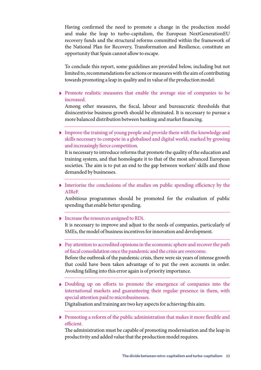Having confirmed the need to promote a change in the production model and make the leap to turbo-capitalism, the European NextGenerationEU recovery funds and the structural reforms committed within the framework of the National Plan for Recovery, Transformation and Resilience, constitute an opportunity that Spain cannot allow to escape.

To conclude this report, some guidelines are provided below, including but not limited to, recommendations for actions or measures with the aim of contributing towards promoting a leap in quality and in value of the production model:

Promote realistic measures that enable the average size of companies to be increased.

Among other measures, the fiscal, labour and bureaucratic thresholds that disincentivise business growth should be eliminated. It is necessary to pursue a more balanced distribution between banking and market financing.

Improve the training of young people and provide them with the knowledge and skills necessary to compete in a globalised and digital world, marked by growing and increasingly fierce competition.

It is necessary to introduce reforms that promote the quality of the education and training system, and that homologate it to that of the most advanced European societies. The aim is to put an end to the gap between workers' skills and those demanded by businesses.

Interiorise the conclusions of the studies on public spending efficiency by the AIReF.

Ambitious programmes should be promoted for the evaluation of public spending that enable better spending.

Increase the resources assigned to RDi.

It is necessary to improve and adjust to the needs of companies, particularly of SMEs, the model of business incentives for innovation and development.

- **Pay attention to accredited opinions in the economic sphere and recover the path** of fiscal consolidation once the pandemic and the crisis are overcome. Before the outbreak of the pandemic crisis, there were six years of intense growth that could have been taken advantage of to put the own accounts in order. Avoiding falling into this error again is of priority importance.
- Doubling up on efforts to promote the emergence of companies into the international markets and guaranteeing their regular presence in them, with special attention paid to microbusinesses.

Digitalisation and training are two key aspects for achieving this aim.

Promoting a reform of the public administration that makes it more flexible and efficient.

The administration must be capable of promoting modernisation and the leap in productivity and added value that the production model requires.